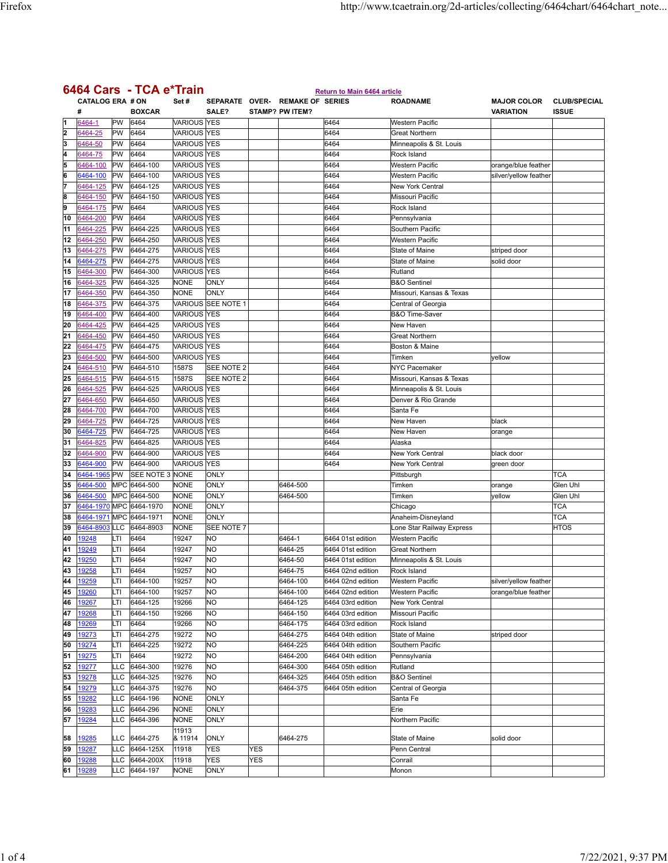| 6464 Cars - TCA e*Train |                              |            |                      |                                   |                        |     |                                                           |                                    |                                    |                                        |                                     |
|-------------------------|------------------------------|------------|----------------------|-----------------------------------|------------------------|-----|-----------------------------------------------------------|------------------------------------|------------------------------------|----------------------------------------|-------------------------------------|
|                         | <b>CATALOG ERA # ON</b><br># |            | <b>BOXCAR</b>        | Set#                              | SALF?                  |     | SEPARATE OVER- REMAKE OF SERIES<br><b>STAMP? PW ITEM?</b> | <b>Return to Main 6464 article</b> | <b>ROADNAME</b>                    | <b>MAJOR COLOR</b><br><b>VARIATION</b> | <b>CLUB/SPECIAL</b><br><b>ISSUE</b> |
| l1                      | 6464-1                       | PW         | 6464                 | <b>VARIOUS YES</b>                |                        |     |                                                           | 6464                               | <b>Western Pacific</b>             |                                        |                                     |
| 2                       | 6464-25                      | PW         | 6464                 | <b>VARIOUS</b>                    | <b>YES</b>             |     |                                                           | 6464                               | <b>Great Northern</b>              |                                        |                                     |
| 3                       | 6464-50                      | PW         | 6464                 | <b>VARIOUS YES</b>                |                        |     |                                                           | 6464                               | Minneapolis & St. Louis            |                                        |                                     |
| 4                       | 6464-75                      | PW         | 6464                 | <b>VARIOUS</b>                    | <b>YES</b>             |     |                                                           | 6464                               | Rock Island                        |                                        |                                     |
| 5                       | 6464-100                     | PW         | 6464-100             | <b>VARIOUS YES</b>                |                        |     |                                                           | 6464                               | <b>Western Pacific</b>             | orange/blue feather                    |                                     |
| 6                       | 6464-100                     | PW         | 6464-100             | <b>VARIOUS</b>                    | <b>YES</b>             |     |                                                           | 6464                               | <b>Western Pacific</b>             | silver/yellow feather                  |                                     |
| 7                       | 6464-125                     | PW         | 6464-125             | <b>VARIOUS YES</b>                |                        |     |                                                           | 6464                               | <b>New York Central</b>            |                                        |                                     |
| 8                       | 6464-150                     | PW         | 6464-150             | <b>VARIOUS</b>                    | <b>YES</b>             |     |                                                           | 6464                               | Missouri Pacific                   |                                        |                                     |
| 9                       | 6464-175                     | PW         | 6464                 | <b>VARIOUS</b>                    | <b>YES</b>             |     |                                                           | 6464                               | Rock Island                        |                                        |                                     |
| 10                      | 6464-200                     | PW         | 6464                 | <b>VARIOUS</b>                    | <b>YES</b>             |     |                                                           | 6464                               | Pennsylvania                       |                                        |                                     |
| 11                      | 6464-225                     | PW         | 6464-225             | <b>VARIOUS YES</b>                |                        |     |                                                           | 6464                               | Southern Pacific                   |                                        |                                     |
| 12                      | 6464-250                     | PW         | 6464-250             | <b>VARIOUS</b>                    | <b>YES</b>             |     |                                                           | 6464                               | Western Pacific                    |                                        |                                     |
| 13                      | 3464-275                     | PW         | 6464-275             | <b>VARIOUS YES</b>                |                        |     |                                                           | 6464                               | <b>State of Maine</b>              | striped door                           |                                     |
| 14                      | 3464-275                     | PW         | 6464-275             | <b>VARIOUS YES</b>                |                        |     |                                                           | 6464                               | State of Maine                     | solid door                             |                                     |
| 15<br>16                | 6464-300<br>6464-325         | PW<br>PW   | 6464-300<br>6464-325 | <b>VARIOUS YES</b><br><b>NONE</b> | ONLY                   |     |                                                           | 6464<br>6464                       | Rutland<br><b>B&amp;O</b> Sentinel |                                        |                                     |
| 17                      | 6464-350                     | PW         | 6464-350             | <b>NONE</b>                       | ONLY                   |     |                                                           | 6464                               | Missouri, Kansas & Texas           |                                        |                                     |
| 18                      | 6464-375                     | PW         | 6464-375             |                                   | VARIOUS SEE NOTE 1     |     |                                                           | 6464                               | Central of Georgia                 |                                        |                                     |
| 19                      | 6464-400                     | PW         | 6464-400             | <b>VARIOUS YES</b>                |                        |     |                                                           | 6464                               | <b>B&amp;O Time-Saver</b>          |                                        |                                     |
| 20                      | 6464-425                     | PW         | 6464-425             | <b>VARIOUS YES</b>                |                        |     |                                                           | 6464                               | New Haven                          |                                        |                                     |
| 21                      | 6464-450                     | PW         | 6464-450             | <b>VARIOUS</b>                    | <b>YES</b>             |     |                                                           | 6464                               | <b>Great Northern</b>              |                                        |                                     |
| 22                      | 6464-475                     | PW         | 6464-475             | <b>VARIOUS YES</b>                |                        |     |                                                           | 6464                               | Boston & Maine                     |                                        |                                     |
| 23                      | 6464-500                     | PW         | 6464-500             | <b>VARIOUS</b>                    | <b>YES</b>             |     |                                                           | 6464                               | Timken                             | yellow                                 |                                     |
| 24                      | 6464-510                     | PW         | 6464-510             | 1587S                             | SEE NOTE 2             |     |                                                           | 6464                               | <b>NYC Pacemaker</b>               |                                        |                                     |
| 25                      | 6464-515                     | PW         | 6464-515             | 1587S                             | SEE NOTE 2             |     |                                                           | 6464                               | Missouri, Kansas & Texas           |                                        |                                     |
| 26                      | 6464-525                     | PW         | 6464-525             | <b>VARIOUS YES</b>                |                        |     |                                                           | 6464                               | Minneapolis & St. Louis            |                                        |                                     |
| 27                      | 6464-650                     | PW         | 6464-650             | <b>VARIOUS</b>                    | <b>YES</b>             |     |                                                           | 6464                               | Denver & Rio Grande                |                                        |                                     |
| 28                      | 6464-700                     | PW         | 6464-700             | <b>VARIOUS YES</b>                |                        |     |                                                           | 6464                               | Santa Fe                           |                                        |                                     |
| 29                      | 6464-725                     | PW         | 6464-725             | <b>VARIOUS</b>                    | <b>YES</b>             |     |                                                           | 6464                               | New Haven                          | black                                  |                                     |
| 30                      | 6464-725                     | PW         | 6464-725             | <b>VARIOUS YES</b>                |                        |     |                                                           | 6464                               | New Haven                          | orange                                 |                                     |
| 31                      | 6464-825                     | PW         | 6464-825             | <b>VARIOUS</b>                    | <b>YES</b>             |     |                                                           | 6464                               | Alaska                             |                                        |                                     |
| 32                      | 6464-900                     | PW         | 6464-900             | <b>VARIOUS</b>                    | <b>YES</b>             |     |                                                           | 6464                               | <b>New York Central</b>            | black door                             |                                     |
| 33                      | 6464-900                     | PW         | 6464-900             | <b>VARIOUS YES</b>                |                        |     |                                                           | 6464                               | <b>New York Central</b>            | green door                             |                                     |
| 34                      | 6464-196                     | PW         | SEE NOTE 3 NONE      |                                   | ONLY                   |     |                                                           |                                    | Pittsburgh                         |                                        | <b>TCA</b>                          |
| 35                      | 6464-500                     | MPC        | 6464-500             | <b>NONE</b>                       | ONLY                   |     | 6464-500                                                  |                                    | Timken                             | orange                                 | Glen Uhl                            |
| 36                      | 6464-500                     | MPC        | 6464-500             | <b>NONE</b>                       | ONLY                   |     | 6464-500                                                  |                                    | Timken                             | vellow                                 | Glen Uhl                            |
| 37                      | 3464-197                     | MPC        | 6464-1970            | <b>NONE</b>                       | ONLY                   |     |                                                           |                                    | Chicago                            |                                        | <b>TCA</b>                          |
| 38                      | 6464-1971                    | <b>MPC</b> | 6464-1971            | <b>NONE</b>                       | ONLY                   |     |                                                           |                                    | Anaheim-Disneyland                 |                                        | <b>TCA</b>                          |
| 39                      | 6464-8903                    | LLC        | 6464-8903            | <b>NONE</b>                       | SEE NOTE 7             |     |                                                           |                                    | Lone Star Railway Express          |                                        | <b>HTOS</b>                         |
| 40                      | 19248                        | LTI        | 6464                 | 19247                             | <b>NO</b>              |     | 6464-1                                                    | 6464 01st edition                  | Western Pacific                    |                                        |                                     |
| 41                      | 19249                        | LTI        | 6464                 | 19247                             | <b>NO</b>              |     | 6464-25                                                   | 6464 01st edition                  | <b>Great Northern</b>              |                                        |                                     |
| 42                      | 19250                        | LTI        | 6464                 | 19247                             | <b>NO</b>              |     | 6464-50                                                   | 6464 01st edition                  | Minneapolis & St. Louis            |                                        |                                     |
| 43                      | <u> 19258</u>                | LTI        | 6464                 | 19257                             | NO                     |     | 6464-75                                                   | 6464 02nd edition                  | Rock Island                        |                                        |                                     |
| 44                      | 19259                        | LTI        | 6464-100             | 19257                             | <b>NO</b>              |     | 6464-100                                                  | 6464 02nd edition                  | Western Pacific                    | silver/yellow feather                  |                                     |
| 45                      | 19260                        | LTI        | 6464-100             | 19257                             | <b>NO</b>              |     | 6464-100                                                  | 6464 02nd edition                  | Western Pacific                    | orange/blue feather                    |                                     |
| 46                      | 19267                        | LTI        | 6464-125             | 19266                             | <b>NO</b>              |     | 6464-125                                                  | 6464 03rd edition                  | New York Central                   |                                        |                                     |
| 47                      | 19268                        | LTI        | 6464-150             | 19266                             | <b>NO</b>              |     | 6464-150                                                  | 6464 03rd edition                  | Missouri Pacific                   |                                        |                                     |
| 48                      | 19269                        | LTI        | 6464                 | 19266                             | <b>NO</b>              |     | 6464-175                                                  | 6464 03rd edition                  | Rock Island                        |                                        |                                     |
| 49                      | 19273                        | LTI        | 6464-275             | 19272                             | <b>NO</b>              |     | 6464-275                                                  | 6464 04th edition                  | State of Maine                     | striped door                           |                                     |
| 50                      | 19274                        | LTI        | 6464-225             | 19272                             | <b>NO</b>              |     | 6464-225                                                  | 6464 04th edition                  | Southern Pacific                   |                                        |                                     |
| 51                      | 19275                        | LTI        | 6464                 | 19272                             | <b>NO</b>              |     | 6464-200                                                  | 6464 04th edition                  | Pennsylvania                       |                                        |                                     |
| 52<br>53                | 19277<br>19278               | LLC        | 6464-300             | 19276                             | <b>NO</b>              |     | 6464-300                                                  | 6464 05th edition                  | Rutland                            |                                        |                                     |
|                         |                              | LLC        | 6464-325             | 19276                             | <b>NO</b><br><b>NO</b> |     | 6464-325<br>6464-375                                      | 6464 05th edition                  | <b>B&amp;O Sentinel</b>            |                                        |                                     |
| 54<br>55                | 19279<br>19282               | LLC<br>LLC | 6464-375<br>6464-196 | 19276<br><b>NONE</b>              | <b>ONLY</b>            |     |                                                           | 6464 05th edition                  | Central of Georgia                 |                                        |                                     |
| 56                      | 19283                        | LLC        | 6464-296             | <b>NONE</b>                       | ONLY                   |     |                                                           |                                    | Santa Fe<br>Erie                   |                                        |                                     |
| 57                      | 19284                        | LLC        | 6464-396             | <b>NONE</b>                       | <b>ONLY</b>            |     |                                                           |                                    | Northern Pacific                   |                                        |                                     |
|                         |                              |            |                      | 11913                             |                        |     |                                                           |                                    |                                    |                                        |                                     |
| 58                      | 19285                        | LLC        | 6464-275             | & 11914                           | <b>ONLY</b>            |     | 6464-275                                                  |                                    | State of Maine                     | solid door                             |                                     |
| 59                      | 19287                        | LLC        | 6464-125X            | 11918                             | YES                    | YES |                                                           |                                    | Penn Central                       |                                        |                                     |
| 60                      | 19288                        | LLC        | 6464-200X            | 11918                             | YES                    | YES |                                                           |                                    | Conrail                            |                                        |                                     |
| 61                      | 19289                        | LLC        | 6464-197             | <b>NONE</b>                       | <b>ONLY</b>            |     |                                                           |                                    | Monon                              |                                        |                                     |
|                         |                              |            |                      |                                   |                        |     |                                                           |                                    |                                    |                                        |                                     |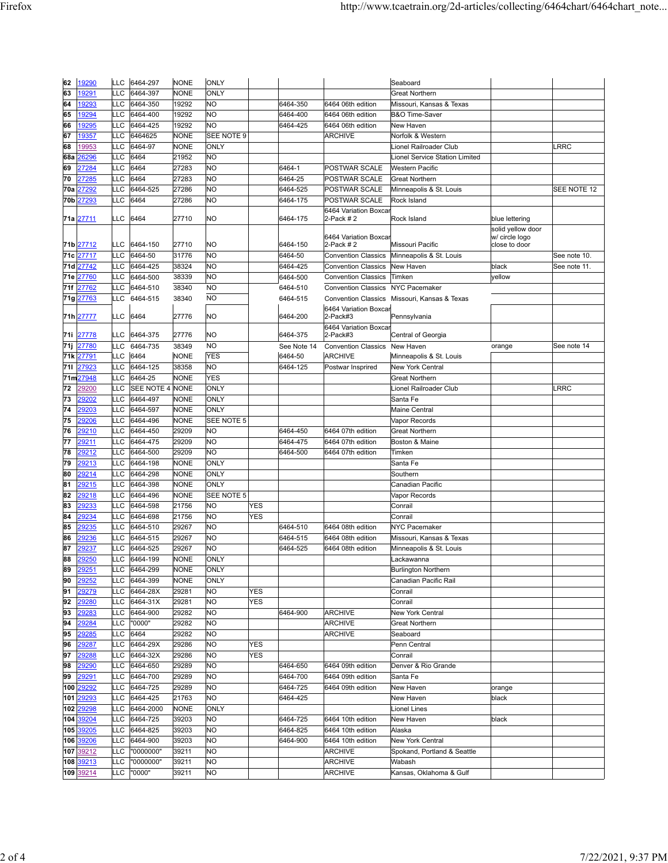| 62         | 19290                  | LLC        | 6464-297               | <b>NONE</b>          | <b>ONLY</b>                 |            |                        |                                        | Seaboard                                                 |                                     |              |
|------------|------------------------|------------|------------------------|----------------------|-----------------------------|------------|------------------------|----------------------------------------|----------------------------------------------------------|-------------------------------------|--------------|
| 63         | 19291                  | LLC        | 6464-397               | <b>NONE</b>          | ONLY                        |            |                        |                                        | <b>Great Northern</b>                                    |                                     |              |
| 64         | 19293                  | LLC        | 6464-350               | 19292                | <b>NO</b>                   |            | 6464-350               | 6464 06th edition                      | Missouri, Kansas & Texas                                 |                                     |              |
| 65         | 19294                  | LLC        | 6464-400               | 19292                | <b>NO</b>                   |            | 6464-400               | 6464 06th edition                      | <b>B&amp;O Time-Saver</b>                                |                                     |              |
| 66         | 19295                  | LLC        | 6464-425               | 19292                | <b>NO</b>                   |            | 6464-425               | 6464 06th edition                      | New Haven                                                |                                     |              |
| 67         | 19357                  | LLC        | 6464625                | NONE                 | SEE NOTE 9                  |            |                        | <b>ARCHIVE</b>                         | Norfolk & Western                                        |                                     |              |
| 68         | 19953                  | LLC<br>LLC | 6464-97                | <b>NONE</b><br>21952 | ONLY<br><b>NO</b>           |            |                        |                                        | Lionel Railroader Club                                   |                                     | LRRC         |
| 68a<br>69  | 26296<br>27284         | LLC        | 6464<br>6464           | 27283                | N <sub>O</sub>              |            | 6464-1                 | POSTWAR SCALE                          | <b>Lionel Service Station Limited</b><br>Western Pacific |                                     |              |
| 70         | 27285                  | LLC        | 6464                   | 27283                | <b>NO</b>                   |            | 6464-25                | POSTWAR SCALE                          | <b>Great Northern</b>                                    |                                     |              |
| 70a        | 7292                   | LLC        | 6464-525               | 27286                | <b>NO</b>                   |            | 6464-525               | POSTWAR SCALE                          | Minneapolis & St. Louis                                  |                                     | SEE NOTE 12  |
| 70b        | 27293                  | LLC        | 6464                   | 27286                | <b>NO</b>                   |            | 6464-175               | POSTWAR SCALE                          | Rock Island                                              |                                     |              |
|            |                        |            |                        |                      |                             |            |                        | 6464 Variation Boxca                   |                                                          |                                     |              |
|            | 71a <u>277</u> 11      | LLC        | 6464                   | 27710                | <b>NO</b>                   |            | 6464-175               | 2-Pack $#2$                            | Rock Island                                              | blue lettering                      |              |
|            |                        |            |                        |                      |                             |            |                        | 6464 Variation Boxcar                  |                                                          | solid yellow door<br>w/ circle logo |              |
|            | 71b 27712              | LLC        | 6464-150               | 27710                | <b>NO</b>                   |            | 6464-150               | 2-Pack # 2                             | Missouri Pacific                                         | close to door                       |              |
| 71с        | 27717                  | LLC        | 6464-50                | 31776                | <b>NO</b>                   |            | 6464-50                | <b>Convention Classics</b>             | Minneapolis & St. Louis                                  |                                     | See note 10. |
| 71d        | 27742                  | LLC        | 6464-425               | 38324                | <b>NO</b>                   |            | 6464-425               | <b>Convention Classics</b>             | New Haven                                                | black                               | See note 11. |
| 71e        | 27760                  | LLC        | 6464-500               | 38339                | <b>NO</b>                   |            | 6464-500               | <b>Convention Classics</b>             | Timken                                                   | yellow                              |              |
| 71f        | 27762                  | LLC        | 6464-510               | 38340                | <b>NO</b>                   |            | 6464-510               | <b>Convention Classics</b>             | <b>NYC Pacemaker</b>                                     |                                     |              |
| 71g        | 27763                  | LLC        | 6464-515               | 38340                | <b>NO</b>                   |            | 6464-515               | 6464 Variation Boxcar                  | Convention Classics Missouri, Kansas & Texas             |                                     |              |
|            | 71h 27777              | LLC        | 6464                   | 27776                | <b>NO</b>                   |            | 6464-200               | 2-Pack#3                               | Pennsylvania                                             |                                     |              |
|            |                        |            |                        |                      |                             |            |                        | 6464 Variation Boxcar                  |                                                          |                                     |              |
| 71i        | 27778<br>27780         | LLC<br>LLC | 6464-375<br>6464-735   | 27776<br>38349       | NO<br><b>NO</b>             |            | 6464-375               | 2-Pack#3<br><b>Convention Classics</b> | Central of Georgia                                       | orange                              | See note 14  |
| 71j<br>71k | 27791                  | LLC        | 6464                   | <b>NONE</b>          | <b>YES</b>                  |            | See Note 14<br>6464-50 | <b>ARCHIVE</b>                         | New Haven<br>Minneapolis & St. Louis                     |                                     |              |
| 711        | 27923                  | LLC        | 6464-125               | 38358                | <b>NO</b>                   |            | 6464-125               | Postwar Insprired                      | <b>New York Central</b>                                  |                                     |              |
| 71m        | 27948                  | LLC        | 6464-25                | <b>NONE</b>          | <b>YES</b>                  |            |                        |                                        | <b>Great Northern</b>                                    |                                     |              |
| 72         | 29200                  | LLC        | SEE NOTE 4             | <b>NONE</b>          | ONLY                        |            |                        |                                        | Lionel Railroader Club                                   |                                     | RRC          |
| 73         | 29202                  | LLC        | 6464-497               | <b>NONE</b>          | ONLY                        |            |                        |                                        | Santa Fe                                                 |                                     |              |
| 74         | 29203                  | LLC        | 6464-597               | <b>NONE</b>          | ONLY                        |            |                        |                                        | <b>Maine Central</b>                                     |                                     |              |
| 75         | 29206                  | LLC        | 6464-496               | <b>NONE</b>          | SEE NOTE 5                  |            |                        |                                        | Vapor Records                                            |                                     |              |
| 76         | 29210                  | LLC        | 6464-450               | 29209                | <b>NO</b>                   |            | 6464-450               | 6464 07th edition                      | <b>Great Northern</b>                                    |                                     |              |
| 77         | 29211<br>29212         | LLC<br>LLC | 6464-475<br>6464-500   | 29209<br>29209       | <b>NO</b><br>N <sub>O</sub> |            | 6464-475<br>6464-500   | 6464 07th edition                      | Boston & Maine                                           |                                     |              |
| 78<br>79   | 29213                  | LLC        | 6464-198               | <b>NONE</b>          | <b>ONLY</b>                 |            |                        | 6464 07th edition                      | Timken<br>Santa Fe                                       |                                     |              |
| 80         | 29214                  | LLC        | 6464-298               | <b>NONE</b>          | ONLY                        |            |                        |                                        | Southern                                                 |                                     |              |
| 81         | 29215                  | LLC        | 6464-398               | <b>NONE</b>          | <b>ONLY</b>                 |            |                        |                                        | Canadian Pacific                                         |                                     |              |
| 82         | 9218                   | LLC        | 6464-496               | NONE                 | SEE NOTE 5                  |            |                        |                                        | Vapor Records                                            |                                     |              |
| 83         | 29233                  | LLC        | 6464-598               | 21756                | <b>NO</b>                   | <b>YES</b> |                        |                                        | Conrail                                                  |                                     |              |
| 84         | 29234                  | LLC        | 6464-698               | 21756                | <b>NO</b>                   | <b>YES</b> |                        |                                        | Conrail                                                  |                                     |              |
| 85         | 29235                  | LLC        | 6464-510               | 29267                | <b>NO</b>                   |            | 6464-510               | 6464 08th edition                      | <b>NYC Pacemaker</b>                                     |                                     |              |
| 86         | 29236                  | LLC        | 6464-515               | 29267                | <b>NO</b>                   |            | 6464-515<br>6464-525   | 6464 08th edition                      | Missouri, Kansas & Texas                                 |                                     |              |
| 87<br>88   | 29237<br>29250         | LLC<br>LLC | 6464-525<br>6464-199   | 29267<br><b>NONE</b> | <b>NO</b><br><b>ONLY</b>    |            |                        | 6464 08th edition                      | Minneapolis & St. Louis<br>Lackawanna                    |                                     |              |
| 89         | 29251                  | LLC        | 6464-299               | <b>NONE</b>          | <b>ONLY</b>                 |            |                        |                                        | <b>Burlington Northern</b>                               |                                     |              |
| 90         | 29252                  | LLC        | 6464-399               | <b>NONE</b>          | <b>ONLY</b>                 |            |                        |                                        | Canadian Pacific Rail                                    |                                     |              |
| 91         | 29279                  | LLC        | 6464-28X               | 29281                | <b>NO</b>                   | <b>YES</b> |                        |                                        | Conrail                                                  |                                     |              |
| 92         | 29280                  | LLC        | 6464-31X               | 29281                | <b>NO</b>                   | <b>YES</b> |                        |                                        | Conrail                                                  |                                     |              |
| 93         | 29283                  | LLC        | 6464-900               | 29282                | <b>NO</b>                   |            | 6464-900               | <b>ARCHIVE</b>                         | New York Central                                         |                                     |              |
| 94         | 29284                  | LLC        | "0000"                 | 29282                | <b>NO</b>                   |            |                        | <b>ARCHIVE</b>                         | <b>Great Northern</b>                                    |                                     |              |
| 95         | 29285                  | LLC        | 6464                   | 29282                | <b>NO</b>                   |            |                        | <b>ARCHIVE</b>                         | Seaboard                                                 |                                     |              |
| 96<br>97   | 29287<br>29288         | LLC<br>LLC | 6464-29X<br>6464-32X   | 29286<br>29286       | <b>NO</b><br><b>NO</b>      | YES<br>YES |                        |                                        | Penn Central<br>Conrail                                  |                                     |              |
| 98         | 29290                  | LLC        | 6464-650               | 29289                | <b>NO</b>                   |            | 6464-650               | 6464 09th edition                      | Denver & Rio Grande                                      |                                     |              |
| 99         | 29291                  | LLC        | 6464-700               | 29289                | <b>NO</b>                   |            | 6464-700               | 6464 09th edition                      | Santa Fe                                                 |                                     |              |
| 100        | 29292                  | LLC        | 6464-725               | 29289                | <b>NO</b>                   |            | 6464-725               | 6464 09th edition                      | New Haven                                                | orange                              |              |
|            | 101 29293              | LLC        | 6464-425               | 21763                | <b>NO</b>                   |            | 6464-425               |                                        | New Haven                                                | black                               |              |
| 102        | 29298                  | LLC        | 6464-2000              | <b>NONE</b>          | <b>ONLY</b>                 |            |                        |                                        | Lionel Lines                                             |                                     |              |
|            | 104 39204              | LLC        | 6464-725               | 39203                | <b>NO</b>                   |            | 6464-725               | 6464 10th edition                      | New Haven                                                | black                               |              |
|            | 105 39205              | LLC        | 6464-825               | 39203                | <b>NO</b>                   |            | 6464-825               | 6464 10th edition                      | Alaska                                                   |                                     |              |
|            | 106 39206              | LLC        | 6464-900               | 39203                | <b>NO</b>                   |            | 6464-900               | 6464 10th edition                      | New York Central                                         |                                     |              |
|            | 107 39212<br>108 39213 | LLC<br>LLC | "0000000"<br>"0000000" | 39211<br>39211       | <b>NO</b><br><b>NO</b>      |            |                        | <b>ARCHIVE</b><br><b>ARCHIVE</b>       | Spokand, Portland & Seattle<br>Wabash                    |                                     |              |
|            | 109 39214              | LLC        | "0000"                 | 39211                | <b>NO</b>                   |            |                        | <b>ARCHIVE</b>                         | Kansas, Oklahoma & Gulf                                  |                                     |              |
|            |                        |            |                        |                      |                             |            |                        |                                        |                                                          |                                     |              |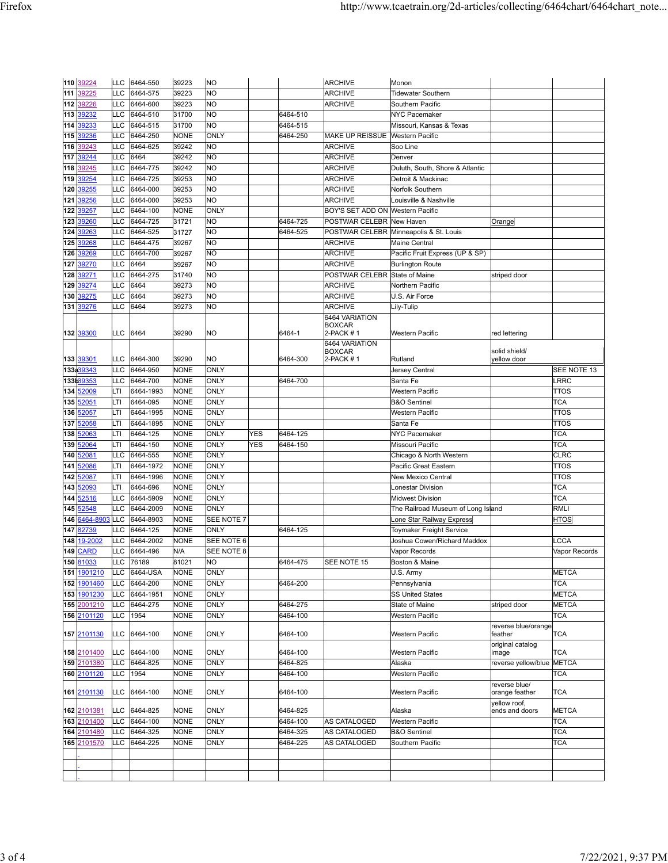|            | 110 39224      | <b>LLC</b> | 6464-550             | 39223                      | <b>NO</b>           |     |          | <b>ARCHIVE</b>                   | Monon                                                   |                                 |                           |
|------------|----------------|------------|----------------------|----------------------------|---------------------|-----|----------|----------------------------------|---------------------------------------------------------|---------------------------------|---------------------------|
| 111        | 39225          | <b>LLC</b> | 6464-575             | 39223                      | <b>NO</b>           |     |          | <b>ARCHIVE</b>                   | <b>Tidewater Southern</b>                               |                                 |                           |
| 112        | 39226          | LLC        | 6464-600             | 39223                      | NO                  |     |          | <b>ARCHIVE</b>                   | Southern Pacific                                        |                                 |                           |
| 113        | 39232          | LLC        | 6464-510             | 31700                      | <b>NO</b>           |     | 6464-510 |                                  | <b>NYC Pacemaker</b>                                    |                                 |                           |
| 114        | 39233          | LLC        | 6464-515             | 31700                      | NO                  |     | 6464-515 |                                  | Missouri, Kansas & Texas                                |                                 |                           |
| 115        | 39236          | LLC        | 6464-250             | <b>NONE</b>                | ONLY                |     | 6464-250 | <b>MAKE UP REISSUE</b>           | <b>Western Pacific</b>                                  |                                 |                           |
| 116        | 39243          | LLC        | 6464-625             | 39242                      | <b>NO</b>           |     |          | <b>ARCHIVE</b>                   | Soo Line                                                |                                 |                           |
| 117        | 39244          | LLC        | 6464                 | 39242                      | <b>NO</b>           |     |          | <b>ARCHIVE</b>                   | Denver                                                  |                                 |                           |
| 118        | 39245          | LLC        | 6464-775             | 39242                      | NO                  |     |          | <b>ARCHIVE</b>                   | Duluth, South, Shore & Atlantic                         |                                 |                           |
| 119        | 39254          | LLC        | 6464-725             | 39253                      | <b>NO</b>           |     |          | <b>ARCHIVE</b>                   | Detroit & Mackinac                                      |                                 |                           |
| 120        | 39255          | LLC        | 6464-000             | 39253                      | NO                  |     |          | <b>ARCHIVE</b>                   | Norfolk Southern                                        |                                 |                           |
| 121        | 39256          | LLC        | 6464-000             | 39253                      | <b>NO</b>           |     |          | <b>ARCHIVE</b>                   | Louisville & Nashville                                  |                                 |                           |
| 122        | 39257          | LLC        | 6464-100             | <b>NONE</b>                | <b>ONLY</b>         |     |          | BOY'S SET ADD ON Western Pacific |                                                         |                                 |                           |
| 123        | 39260          | LLC        | 6464-725             | 31721                      | NΟ<br><b>NO</b>     |     | 6464-725 | POSTWAR CELEBR New Haven         |                                                         | Orange                          |                           |
| 124<br>125 | 39263<br>39268 | LLC<br>LLC | 6464-525<br>6464-475 | 31727                      | <b>NO</b>           |     | 6464-525 |                                  | POSTWAR CELEBR Minneapolis & St. Louis<br>Maine Central |                                 |                           |
| 126        | 39269          | LLC        | 6464-700             | 39267<br>39267             | NO                  |     |          | <b>ARCHIVE</b><br><b>ARCHIVE</b> | Pacific Fruit Express (UP & SP)                         |                                 |                           |
| 127        | 39270          | LLC        | 6464                 | 39267                      | <b>NO</b>           |     |          | <b>ARCHIVE</b>                   | <b>Burlington Route</b>                                 |                                 |                           |
| 128        | 39271          | LLC        | 6464-275             | 31740                      | <b>NO</b>           |     |          | POSTWAR CELEBR                   | <b>State of Maine</b>                                   | striped door                    |                           |
| 129        | 39274          | LLC        | 6464                 | 39273                      | <b>NO</b>           |     |          | <b>ARCHIVE</b>                   | Northern Pacific                                        |                                 |                           |
| 130        | 39275          | LLC        | 6464                 | 39273                      | <b>NO</b>           |     |          | <b>ARCHIVE</b>                   | U.S. Air Force                                          |                                 |                           |
|            | 131 39276      | LLC        | 6464                 | 39273                      | NO                  |     |          | <b>ARCHIVE</b>                   | Lily-Tulip                                              |                                 |                           |
|            |                |            |                      |                            |                     |     |          | 6464 VARIATION                   |                                                         |                                 |                           |
|            |                |            |                      |                            |                     |     |          | <b>BOXCAR</b>                    |                                                         |                                 |                           |
|            | 132 39300      | LLC        | 6464                 | 39290                      | ΝO                  |     | 6464-1   | 2-PACK #1                        | <b>Western Pacific</b>                                  | red lettering                   |                           |
|            |                |            |                      |                            |                     |     |          | 6464 VARIATION<br><b>BOXCAR</b>  |                                                         | solid shield/                   |                           |
|            | 133 39301      | LLC        | 6464-300             | 39290                      | NO                  |     | 6464-300 | 2-PACK #1                        | Rutland                                                 | yellow door                     |                           |
|            | 133:39343      | LLC        | 6464-950             | <b>NONE</b>                | <b>ONLY</b>         |     |          |                                  | Jersey Central                                          |                                 | SEE NOTE 13               |
|            | 133b39353      | LLC        | 6464-700             | <b>NONE</b>                | ONLY                |     | 6464-700 |                                  | Santa Fe                                                |                                 | <b>LRRC</b>               |
| 134        | 52009          | LTI        | 6464-1993            | <b>NONE</b>                | ONLY                |     |          |                                  | Western Pacific                                         |                                 | <b>TTOS</b>               |
| 135        | 52051          | LTI        | 6464-095             | <b>NONE</b>                | ONLY                |     |          |                                  | <b>B&amp;O</b> Sentinel                                 |                                 | <b>TCA</b>                |
| 136        | 52057          | LTI        | 6464-1995            | <b>NONE</b>                | ONLY                |     |          |                                  | Western Pacific                                         |                                 | <b>TTOS</b>               |
| 137        | 52058          | LTI        | 6464-1895            | <b>NONE</b>                | ONLY                |     |          |                                  | Santa Fe                                                |                                 | <b>TTOS</b>               |
| 138        | 52063          | LTI        | 6464-125             | <b>NONE</b>                | ONLY                | YES | 6464-125 |                                  | <b>NYC Pacemaker</b><br>Missouri Pacific                |                                 | <b>TCA</b>                |
| 139<br>140 | 52064<br>52081 | LTI<br>LLC | 6464-150<br>6464-555 | <b>NONE</b><br><b>NONE</b> | ONLY<br><b>ONLY</b> | YES | 6464-150 |                                  | Chicago & North Western                                 |                                 | <b>TCA</b><br><b>CLRC</b> |
| 141        | 52086          | LTI        | 6464-1972            | <b>NONE</b>                | ONLY                |     |          |                                  | Pacific Great Eastern                                   |                                 | <b>TTOS</b>               |
| 142        | 52087          | LTI        | 6464-1996            | <b>NONE</b>                | ONLY                |     |          |                                  | New Mexico Central                                      |                                 | <b>TTOS</b>               |
| 143        | 52093          | LTI        | 6464-696             | <b>NONE</b>                | ONLY                |     |          |                                  | <b>Lonestar Division</b>                                |                                 | <b>TCA</b>                |
| 144        | 52516          | LLC        | 6464-5909            | <b>NONE</b>                | ONLY                |     |          |                                  | <b>Midwest Division</b>                                 |                                 | <b>TCA</b>                |
| 145        | 52548          | LLC        | 6464-2009            | <b>NONE</b>                | ONLY                |     |          |                                  | The Railroad Museum of Long Island                      |                                 | <b>RMLI</b>               |
| 146        | 6464-8903      | LLC        | 6464-8903            | <b>NONE</b>                | SEE NOTE 7          |     |          |                                  | Lone Star Railway Express                               |                                 | <b>HTOS</b>               |
| 147        | 82739          | LLC        | 6464-125             | <b>NONE</b>                | ONLY                |     | 6464-125 |                                  | Toymaker Freight Service                                |                                 |                           |
| 148        | 19-2002        | LLC        | 6464-2002            | <b>NONE</b>                | SEE NOTE 6          |     |          |                                  | Joshua Cowen/Richard Maddox                             |                                 | LCCA                      |
| 149        | <b>CARD</b>    | LLC        | 6464-496             | N/A                        | SEE NOTE 8          |     |          |                                  | Vapor Records                                           |                                 | Vapor Records             |
|            | 150 81033      | <b>LLC</b> | 76189                | 81021                      | <b>NO</b>           |     | 6464-475 | SEE NOTE 15                      | Boston & Maine                                          |                                 |                           |
|            | 151 1901210    | LLC        | 6464-USA             | <b>NONE</b>                | ONLY                |     |          |                                  | U.S. Army                                               |                                 | <b>METCA</b>              |
|            | 152 1901460    | LLC        | 6464-200             | <b>NONE</b>                | ONLY                |     | 6464-200 |                                  | Pennsylvania                                            |                                 | <b>TCA</b>                |
|            | 153 1901230    | LLC        | 6464-1951            | <b>NONE</b>                | ONLY                |     |          |                                  | <b>SS United States</b>                                 |                                 | <b>METCA</b>              |
|            | 155 2001210    | LLC        | 6464-275             | <b>NONE</b>                | <b>ONLY</b>         |     | 6464-275 |                                  | State of Maine                                          | striped door                    | <b>METCA</b>              |
|            | 156 2101120    | LLC        | 1954                 | <b>NONE</b>                | ONLY                |     | 6464-100 |                                  | Western Pacific                                         |                                 | <b>TCA</b>                |
|            | 157 2101130    | LLC        | 6464-100             | <b>NONE</b>                | ONLY                |     | 6464-100 |                                  | Western Pacific                                         | reverse blue/orange<br>feather  | <b>TCA</b>                |
|            |                |            |                      |                            |                     |     |          |                                  |                                                         | original catalog                |                           |
|            | 158 2101400    | LLC        | 6464-100             | NONE                       | ONLY                |     | 6464-100 |                                  | Western Pacific                                         | image                           | <b>TCA</b>                |
|            | 159 2101380    | LLC        | 6464-825             | <b>NONE</b>                | <b>ONLY</b>         |     | 6464-825 |                                  | Alaska                                                  | reverse yellow/blue             | <b>METCA</b>              |
|            | 160 2101120    | LLC        | 1954                 | <b>NONE</b>                | <b>ONLY</b>         |     | 6464-100 |                                  | Western Pacific                                         |                                 | <b>TCA</b>                |
|            | 161 2101130    | LLC        | 6464-100             | NONE                       | ONLY                |     | 6464-100 |                                  | Western Pacific                                         | reverse blue/<br>orange feather | TCA                       |
|            | 162 2101381    | <b>LLC</b> | 6464-825             | <b>NONE</b>                | ONLY                |     | 6464-825 |                                  | Alaska                                                  | yellow roof,<br>ends and doors  | <b>METCA</b>              |
|            | 163 2101400    | LLC        | 6464-100             | <b>NONE</b>                | ONLY                |     | 6464-100 | AS CATALOGED                     | Western Pacific                                         |                                 | <b>TCA</b>                |
|            | 164 2101480    | LLC        | 6464-325             | <b>NONE</b>                | ONLY                |     | 6464-325 | AS CATALOGED                     | <b>B&amp;O</b> Sentinel                                 |                                 | <b>TCA</b>                |
|            | 165 2101570    | LLC        | 6464-225             | <b>NONE</b>                | ONLY                |     | 6464-225 | AS CATALOGED                     | Southern Pacific                                        |                                 | <b>TCA</b>                |
|            |                |            |                      |                            |                     |     |          |                                  |                                                         |                                 |                           |
|            |                |            |                      |                            |                     |     |          |                                  |                                                         |                                 |                           |
|            |                |            |                      |                            |                     |     |          |                                  |                                                         |                                 |                           |